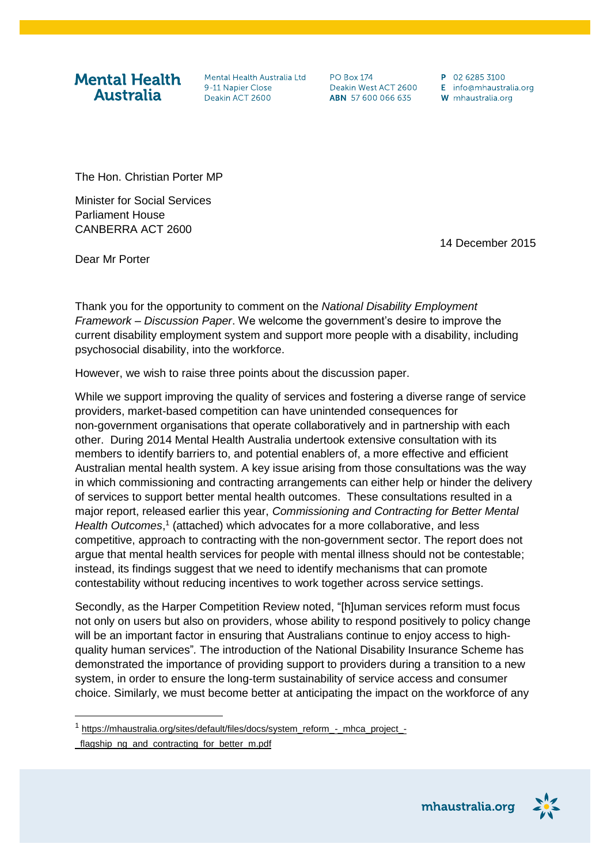**Mental Health Australia** 

Mental Health Australia Ltd 9-11 Nanier Close Deakin ACT 2600

**PO Box 174** Deakin West ACT 2600 ABN 57 600 066 635

P 02 6285 3100 E info@mhaustralia.org W mhaustralia.org

The Hon. Christian Porter MP

Minister for Social Services Parliament House CANBERRA ACT 2600

14 December 2015

Dear Mr Porter

Thank you for the opportunity to comment on the *National Disability Employment Framework – Discussion Paper*. We welcome the government's desire to improve the current disability employment system and support more people with a disability, including psychosocial disability, into the workforce.

However, we wish to raise three points about the discussion paper.

While we support improving the quality of services and fostering a diverse range of service providers, market-based competition can have unintended consequences for non-government organisations that operate collaboratively and in partnership with each other. During 2014 Mental Health Australia undertook extensive consultation with its members to identify barriers to, and potential enablers of, a more effective and efficient Australian mental health system. A key issue arising from those consultations was the way in which commissioning and contracting arrangements can either help or hinder the delivery of services to support better mental health outcomes. These consultations resulted in a major report, released earlier this year, *Commissioning and Contracting for Better Mental*  Health Outcomes,<sup>1</sup> (attached) which advocates for a more collaborative, and less competitive, approach to contracting with the non-government sector. The report does not argue that mental health services for people with mental illness should not be contestable; instead, its findings suggest that we need to identify mechanisms that can promote contestability without reducing incentives to work together across service settings.

Secondly, as the Harper Competition Review noted, "[h]uman services reform must focus not only on users but also on providers, whose ability to respond positively to policy change will be an important factor in ensuring that Australians continue to enjoy access to high‐ quality human services"*.* The introduction of the National Disability Insurance Scheme has demonstrated the importance of providing support to providers during a transition to a new system, in order to ensure the long-term sustainability of service access and consumer choice. Similarly, we must become better at anticipating the impact on the workforce of any

l

mhaustralia.org



<sup>&</sup>lt;sup>1</sup> [https://mhaustralia.org/sites/default/files/docs/system\\_reform\\_-\\_mhca\\_project\\_-](https://mhaustralia.org/sites/default/files/docs/system_reform_-_mhca_project_-_flagship_ng_and_contracting_for_better_m.pdf)

[\\_flagship\\_ng\\_and\\_contracting\\_for\\_better\\_m.pdf](https://mhaustralia.org/sites/default/files/docs/system_reform_-_mhca_project_-_flagship_ng_and_contracting_for_better_m.pdf)